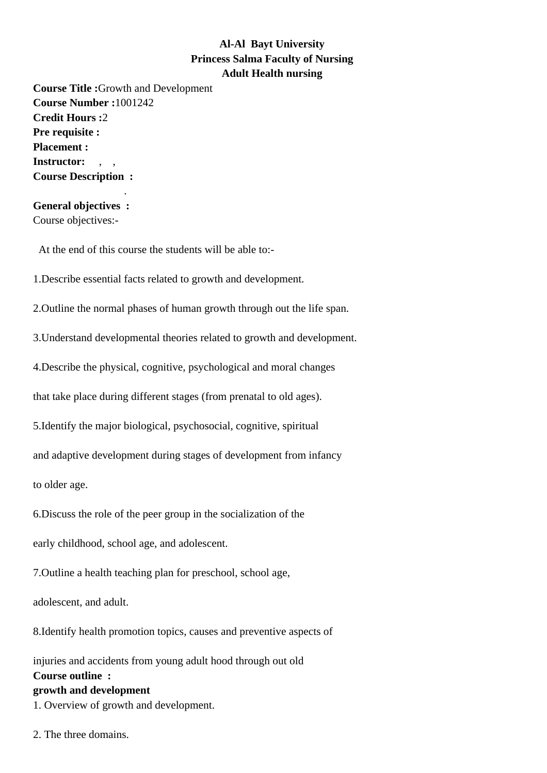## **Al-Al Bayt University Princess Salma Faculty of Nursing Adult Health nursing**

**Course Title :**Growth and Development **Course Number :**1001242 **Credit Hours :**2 **Pre requisite : Placement :** Instructor: **Course Description :**

## **General objectives :** Course objectives:-

.

At the end of this course the students will be able to:-

1.Describe essential facts related to growth and development.

2.Outline the normal phases of human growth through out the life span.

3.Understand developmental theories related to growth and development.

4.Describe the physical, cognitive, psychological and moral changes

that take place during different stages (from prenatal to old ages).

5.Identify the major biological, psychosocial, cognitive, spiritual

and adaptive development during stages of development from infancy

to older age.

6.Discuss the role of the peer group in the socialization of the

early childhood, school age, and adolescent.

7.Outline a health teaching plan for preschool, school age,

adolescent, and adult.

8.Identify health promotion topics, causes and preventive aspects of

injuries and accidents from young adult hood through out old **Course outline : growth and development** 1. Overview of growth and development.

2. The three domains.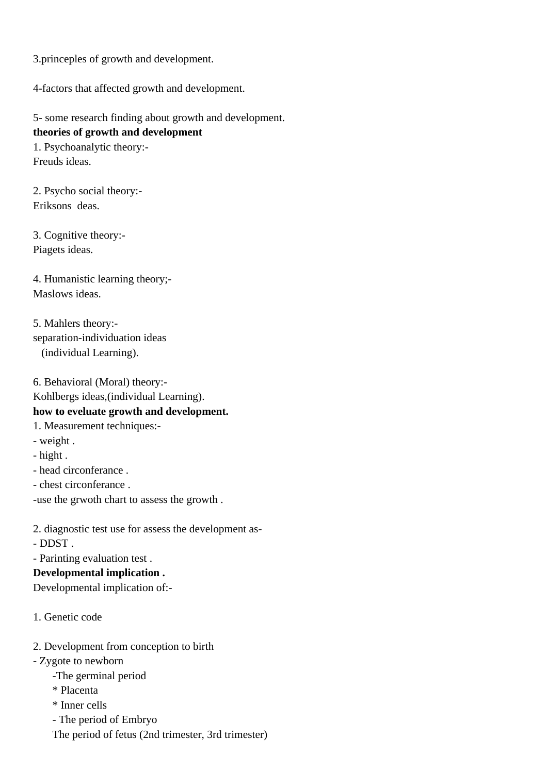3.princeples of growth and development.

4-factors that affected growth and development.

5- some research finding about growth and development. **theories of growth and development**

1. Psychoanalytic theory:- Freuds ideas.

2. Psycho social theory:- Eriksons deas.

3. Cognitive theory:- Piagets ideas.

4. Humanistic learning theory;- Maslows ideas.

5. Mahlers theory: separation-individuation ideas (individual Learning).

6. Behavioral (Moral) theory:- Kohlbergs ideas,(individual Learning). **how to eveluate growth and development.** 1. Measurement techniques:- - weight . - hight . - head circonferance . - chest circonferance .

-use the grwoth chart to assess the growth .

2. diagnostic test use for assess the development as- - DDST .

- Parinting evaluation test .

**Developmental implication .**

Developmental implication of:-

1. Genetic code

2. Development from conception to birth

 - Zygote to newborn

- -The germinal period
- \* Placenta

\* Inner cells

- The period of Embryo

The period of fetus (2nd trimester, 3rd trimester)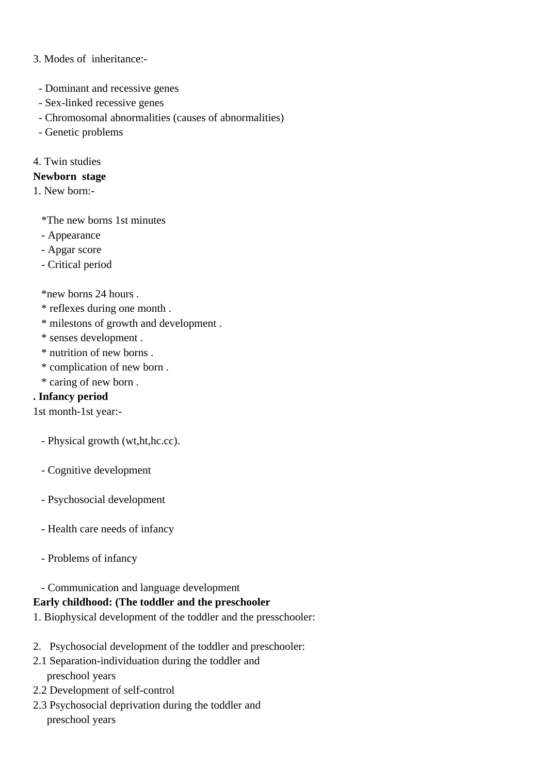#### 3. Modes of inheritance:-

- Dominant and recessive genes
- Sex-linked recessive genes
- Chromosomal abnormalities (causes of abnormalities)
- Genetic problems

#### 4. Twin studies

#### **Newborn stage**

1. New born:-

\*The new borns 1st minutes

- Appearance
- Apgar score
- Critical period

\*new borns 24 hours .

- \* reflexes during one month .
- \* milestons of growth and development .
- \* senses development .
- \* nutrition of new borns .
- \* complication of new born .
- \* caring of new born .

#### **. Infancy period**

1st month-1st year:-

- Physical growth (wt,ht,hc.cc).
- Cognitive development
- Psychosocial development
- Health care needs of infancy
- Problems of infancy

#### - Communication and language development

#### **Early childhood: (The toddler and the preschooler**

- 1. Biophysical development of the toddler and the presschooler:
- 2. Psychosocial development of the toddler and preschooler:
- 2.1 Separation-individuation during the toddler and preschool years
- 2.2 Development of self-control
- 2.3 Psychosocial deprivation during the toddler and preschool years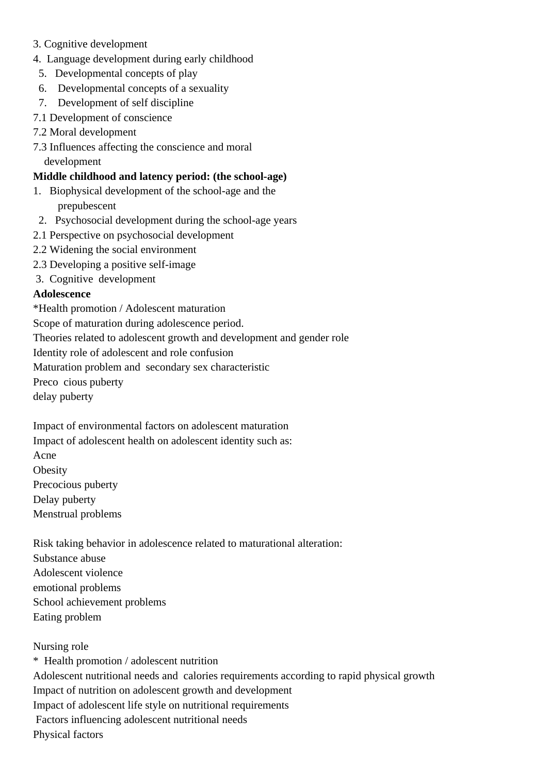- 3. Cognitive development
- 4. Language development during early childhood
	- 5. Developmental concepts of play
	- 6. Developmental concepts of a sexuality
	- 7. Development of self discipline
- 7.1 Development of conscience
- 7.2 Moral development
- 7.3 Influences affecting the conscience and moral development

## **Middle childhood and latency period: (the school-age)**

- 1. Biophysical development of the school-age and the prepubescent
- 2. Psychosocial development during the school-age years
- 2.1 Perspective on psychosocial development
- 2.2 Widening the social environment
- 2.3 Developing a positive self-image
- 3. Cognitive development

### **Adolescence**

\* Health promotion / Adolescent maturation

 Scope of maturation during adolescence period.

 Theories related to adolescent growth and development and gender role

 Identity role of adolescent and role confusion

 Maturation problem and secondary sex characteristic

 Preco cious puberty

 delay puberty

 Impact of environmental factors on adolescent maturation

- Impact of adolescent health on adolescent identity such as:
- Acne
- **Obesity**
- Precocious puberty
- Delay puberty

 Menstrual problems

 Risk taking behavior in adolescence related to maturational alteration:

 Substance abuse

 Adolescent violence

- emotional problems
- School achievement problems
- Eating problem

## Nursing role

\* Health promotion / adolescent nutrition Adolescent nutritional needs and calories requirements according to rapid physical growth Impact of nutrition on adolescent growth and development Impact of adolescent life style on nutritional requirements Factors influencing adolescent nutritional needs Physical factors